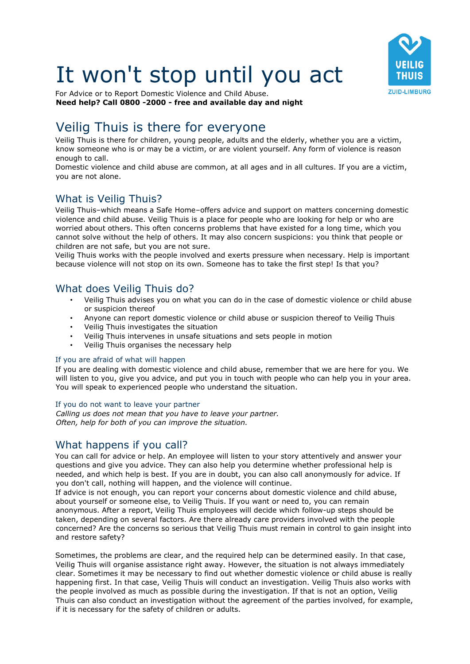# It won't stop until you act



For Advice or to Report Domestic Violence and Child Abuse. **Need help? Call 0800 -2000 - free and available day and night**

# Veilig Thuis is there for everyone

Veilig Thuis is there for children, young people, adults and the elderly, whether you are a victim, know someone who is or may be a victim, or are violent yourself. Any form of violence is reason enough to call.

Domestic violence and child abuse are common, at all ages and in all cultures. If you are a victim, you are not alone.

# What is Veilig Thuis?

Veilig Thuis–which means a Safe Home–offers advice and support on matters concerning domestic violence and child abuse. Veilig Thuis is a place for people who are looking for help or who are worried about others. This often concerns problems that have existed for a long time, which you cannot solve without the help of others. It may also concern suspicions: you think that people or children are not safe, but you are not sure.

Veilig Thuis works with the people involved and exerts pressure when necessary. Help is important because violence will not stop on its own. Someone has to take the first step! Is that you?

# What does Veilig Thuis do?

- Veilig Thuis advises you on what you can do in the case of domestic violence or child abuse or suspicion thereof
- Anyone can report domestic violence or child abuse or suspicion thereof to Veilig Thuis
- Veilig Thuis investigates the situation
- Veilig Thuis intervenes in unsafe situations and sets people in motion
- Veilig Thuis organises the necessary help

#### If you are afraid of what will happen

If you are dealing with domestic violence and child abuse, remember that we are here for you. We will listen to you, give you advice, and put you in touch with people who can help you in your area. You will speak to experienced people who understand the situation.

If you do not want to leave your partner

*Calling us does not mean that you have to leave your partner. Often, help for both of you can improve the situation.* 

# What happens if you call?

You can call for advice or help. An employee will listen to your story attentively and answer your questions and give you advice. They can also help you determine whether professional help is needed, and which help is best. If you are in doubt, you can also call anonymously for advice. If you don't call, nothing will happen, and the violence will continue.

If advice is not enough, you can report your concerns about domestic violence and child abuse, about yourself or someone else, to Veilig Thuis. If you want or need to, you can remain anonymous. After a report, Veilig Thuis employees will decide which follow-up steps should be taken, depending on several factors. Are there already care providers involved with the people concerned? Are the concerns so serious that Veilig Thuis must remain in control to gain insight into and restore safety?

Sometimes, the problems are clear, and the required help can be determined easily. In that case, Veilig Thuis will organise assistance right away. However, the situation is not always immediately clear. Sometimes it may be necessary to find out whether domestic violence or child abuse is really happening first. In that case, Veilig Thuis will conduct an investigation. Veilig Thuis also works with the people involved as much as possible during the investigation. If that is not an option, Veilig Thuis can also conduct an investigation without the agreement of the parties involved, for example, if it is necessary for the safety of children or adults.